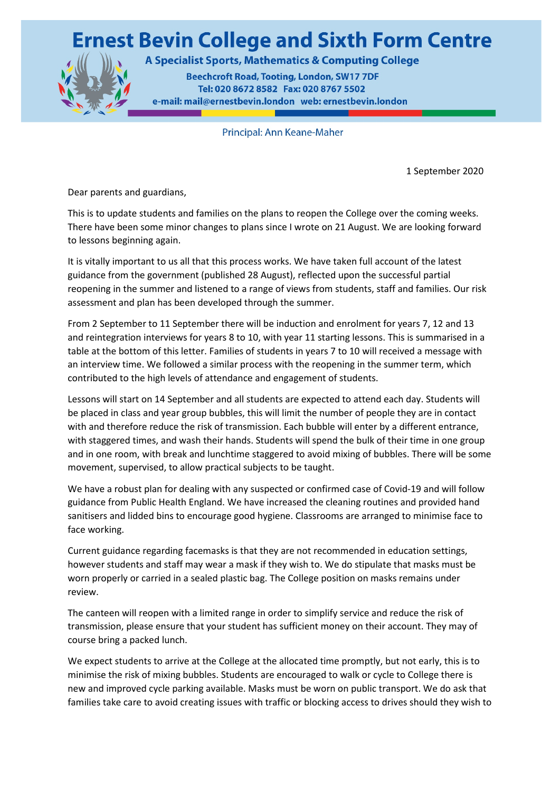## **Ernest Bevin College and Sixth Form Centre**



A Specialist Sports, Mathematics & Computing College

**Beechcroft Road, Tooting, London, SW17 7DF** Tel: 020 8672 8582 Fax: 020 8767 5502 e-mail: mail@ernestbevin.london web: ernestbevin.london

Principal: Ann Keane-Maher

1 September 2020

Dear parents and guardians,

This is to update students and families on the plans to reopen the College over the coming weeks. There have been some minor changes to plans since I wrote on 21 August. We are looking forward to lessons beginning again.

It is vitally important to us all that this process works. We have taken full account of the latest guidance from the government (published 28 August), reflected upon the successful partial reopening in the summer and listened to a range of views from students, staff and families. Our risk assessment and plan has been developed through the summer.

From 2 September to 11 September there will be induction and enrolment for years 7, 12 and 13 and reintegration interviews for years 8 to 10, with year 11 starting lessons. This is summarised in a table at the bottom of this letter. Families of students in years 7 to 10 will received a message with an interview time. We followed a similar process with the reopening in the summer term, which contributed to the high levels of attendance and engagement of students.

Lessons will start on 14 September and all students are expected to attend each day. Students will be placed in class and year group bubbles, this will limit the number of people they are in contact with and therefore reduce the risk of transmission. Each bubble will enter by a different entrance, with staggered times, and wash their hands. Students will spend the bulk of their time in one group and in one room, with break and lunchtime staggered to avoid mixing of bubbles. There will be some movement, supervised, to allow practical subjects to be taught.

We have a robust plan for dealing with any suspected or confirmed case of Covid-19 and will follow guidance from Public Health England. We have increased the cleaning routines and provided hand sanitisers and lidded bins to encourage good hygiene. Classrooms are arranged to minimise face to face working.

Current guidance regarding facemasks is that they are not recommended in education settings, however students and staff may wear a mask if they wish to. We do stipulate that masks must be worn properly or carried in a sealed plastic bag. The College position on masks remains under review.

The canteen will reopen with a limited range in order to simplify service and reduce the risk of transmission, please ensure that your student has sufficient money on their account. They may of course bring a packed lunch.

We expect students to arrive at the College at the allocated time promptly, but not early, this is to minimise the risk of mixing bubbles. Students are encouraged to walk or cycle to College there is new and improved cycle parking available. Masks must be worn on public transport. We do ask that families take care to avoid creating issues with traffic or blocking access to drives should they wish to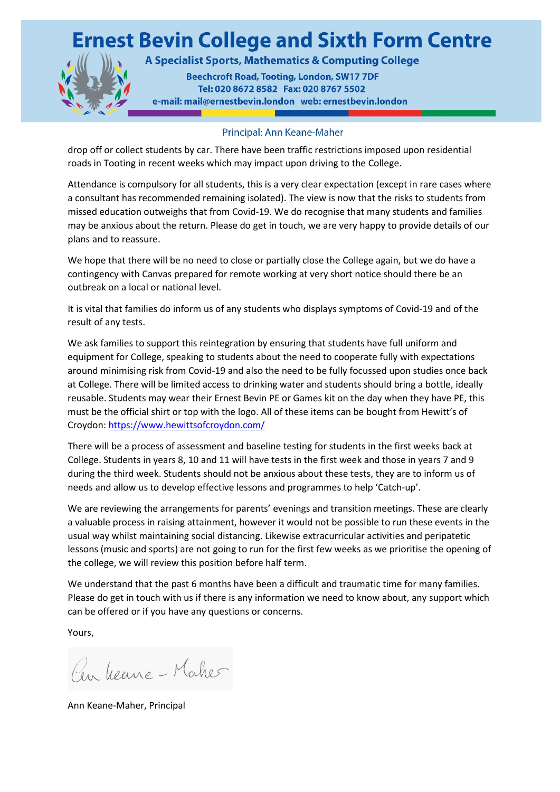## **Ernest Bevin College and Sixth Form Centre**



A Specialist Sports, Mathematics & Computing College

**Beechcroft Road, Tooting, London, SW17 7DF** Tel: 020 8672 8582 Fax: 020 8767 5502 e-mail: mail@ernestbevin.london web: ernestbevin.london

## Principal: Ann Keane-Maher

drop off or collect students by car. There have been traffic restrictions imposed upon residential roads in Tooting in recent weeks which may impact upon driving to the College.

Attendance is compulsory for all students, this is a very clear expectation (except in rare cases where a consultant has recommended remaining isolated). The view is now that the risks to students from missed education outweighs that from Covid-19. We do recognise that many students and families may be anxious about the return. Please do get in touch, we are very happy to provide details of our plans and to reassure.

We hope that there will be no need to close or partially close the College again, but we do have a contingency with Canvas prepared for remote working at very short notice should there be an outbreak on a local or national level.

It is vital that families do inform us of any students who displays symptoms of Covid-19 and of the result of any tests.

We ask families to support this reintegration by ensuring that students have full uniform and equipment for College, speaking to students about the need to cooperate fully with expectations around minimising risk from Covid-19 and also the need to be fully focussed upon studies once back at College. There will be limited access to drinking water and students should bring a bottle, ideally reusable. Students may wear their Ernest Bevin PE or Games kit on the day when they have PE, this must be the official shirt or top with the logo. All of these items can be bought from Hewitt's of Croydon:<https://www.hewittsofcroydon.com/>

There will be a process of assessment and baseline testing for students in the first weeks back at College. Students in years 8, 10 and 11 will have tests in the first week and those in years 7 and 9 during the third week. Students should not be anxious about these tests, they are to inform us of needs and allow us to develop effective lessons and programmes to help 'Catch-up'.

We are reviewing the arrangements for parents' evenings and transition meetings. These are clearly a valuable process in raising attainment, however it would not be possible to run these events in the usual way whilst maintaining social distancing. Likewise extracurricular activities and peripatetic lessons (music and sports) are not going to run for the first few weeks as we prioritise the opening of the college, we will review this position before half term.

We understand that the past 6 months have been a difficult and traumatic time for many families. Please do get in touch with us if there is any information we need to know about, any support which can be offered or if you have any questions or concerns.

Yours,

Pen Veune-Maker

Ann Keane-Maher, Principal